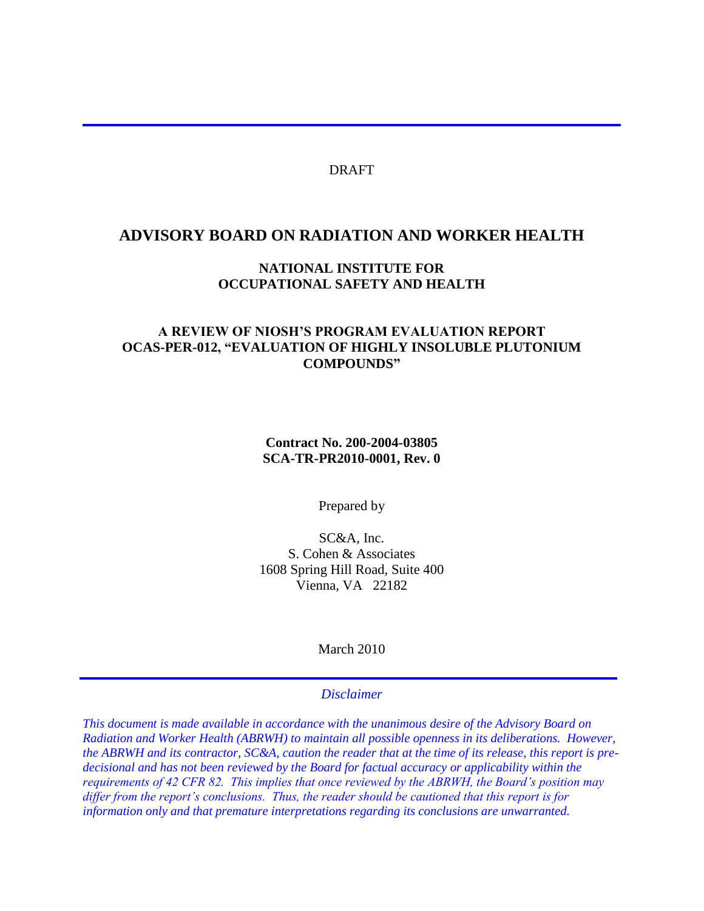#### DRAFT

#### **ADVISORY BOARD ON RADIATION AND WORKER HEALTH**

### **NATIONAL INSTITUTE FOR OCCUPATIONAL SAFETY AND HEALTH**

#### **A REVIEW OF NIOSH'S PROGRAM EVALUATION REPORT OCAS-PER-012, "EVALUATION OF HIGHLY INSOLUBLE PLUTONIUM COMPOUNDS"**

#### **Contract No. 200-2004-03805 SCA-TR-PR2010-0001, Rev. 0**

Prepared by

SC&A, Inc. S. Cohen & Associates 1608 Spring Hill Road, Suite 400 Vienna, VA 22182

March 2010

#### *Disclaimer*

*This document is made available in accordance with the unanimous desire of the Advisory Board on Radiation and Worker Health (ABRWH) to maintain all possible openness in its deliberations. However, the ABRWH and its contractor, SC&A, caution the reader that at the time of its release, this report is predecisional and has not been reviewed by the Board for factual accuracy or applicability within the requirements of 42 CFR 82. This implies that once reviewed by the ABRWH, the Board's position may differ from the report's conclusions. Thus, the reader should be cautioned that this report is for information only and that premature interpretations regarding its conclusions are unwarranted.*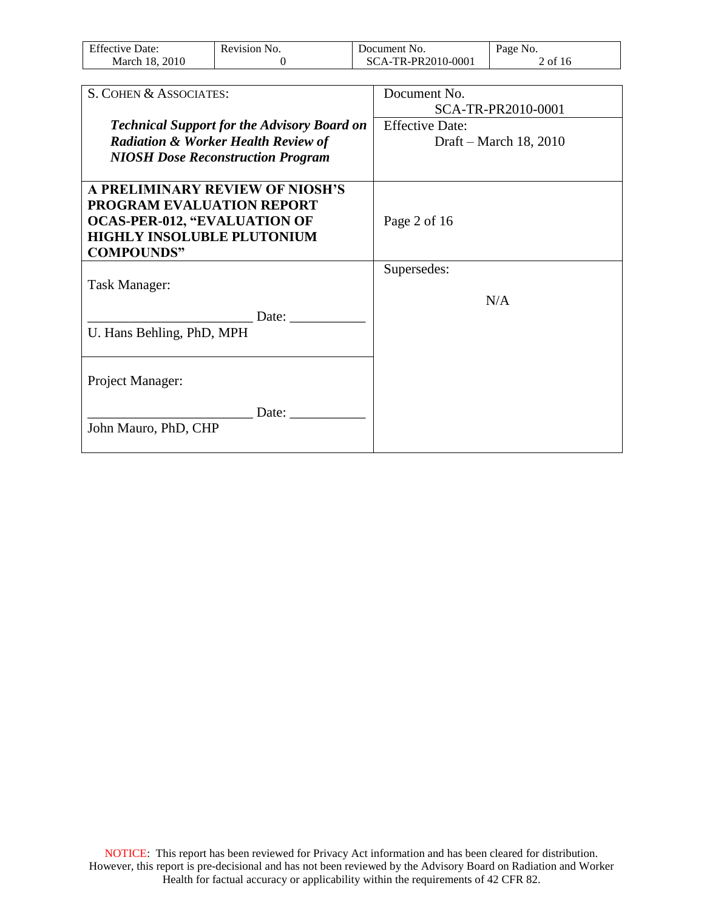| Effective<br>Jate:            | evision<br>NO. | nent<br>NO.<br>ഥ | a o e<br>N <sub>0</sub> |
|-------------------------------|----------------|------------------|-------------------------|
| 2010<br>March<br>$\mathbf{x}$ |                | 0-000<br>DD<br>. | 0İ<br>10                |

| S. COHEN & ASSOCIATES:                                                                                                                                                                                                                 | Document No.                       |
|----------------------------------------------------------------------------------------------------------------------------------------------------------------------------------------------------------------------------------------|------------------------------------|
|                                                                                                                                                                                                                                        | SCA-TR-PR2010-0001                 |
| <b>Technical Support for the Advisory Board on</b>                                                                                                                                                                                     | <b>Effective Date:</b>             |
| <b>Radiation &amp; Worker Health Review of</b>                                                                                                                                                                                         | Draft – March 18, 2010             |
| <b>NIOSH Dose Reconstruction Program</b>                                                                                                                                                                                               |                                    |
|                                                                                                                                                                                                                                        |                                    |
| A PRELIMINARY REVIEW OF NIOSH'S                                                                                                                                                                                                        |                                    |
|                                                                                                                                                                                                                                        |                                    |
|                                                                                                                                                                                                                                        |                                    |
|                                                                                                                                                                                                                                        |                                    |
|                                                                                                                                                                                                                                        |                                    |
|                                                                                                                                                                                                                                        |                                    |
|                                                                                                                                                                                                                                        |                                    |
|                                                                                                                                                                                                                                        |                                    |
|                                                                                                                                                                                                                                        |                                    |
|                                                                                                                                                                                                                                        |                                    |
|                                                                                                                                                                                                                                        |                                    |
|                                                                                                                                                                                                                                        |                                    |
|                                                                                                                                                                                                                                        |                                    |
|                                                                                                                                                                                                                                        |                                    |
|                                                                                                                                                                                                                                        |                                    |
|                                                                                                                                                                                                                                        |                                    |
| PROGRAM EVALUATION REPORT<br><b>OCAS-PER-012, "EVALUATION OF</b><br><b>HIGHLY INSOLUBLE PLUTONIUM</b><br><b>COMPOUNDS"</b><br>Task Manager:<br>Date:<br>U. Hans Behling, PhD, MPH<br>Project Manager:<br>Date:<br>John Mauro, PhD, CHP | Page 2 of 16<br>Supersedes:<br>N/A |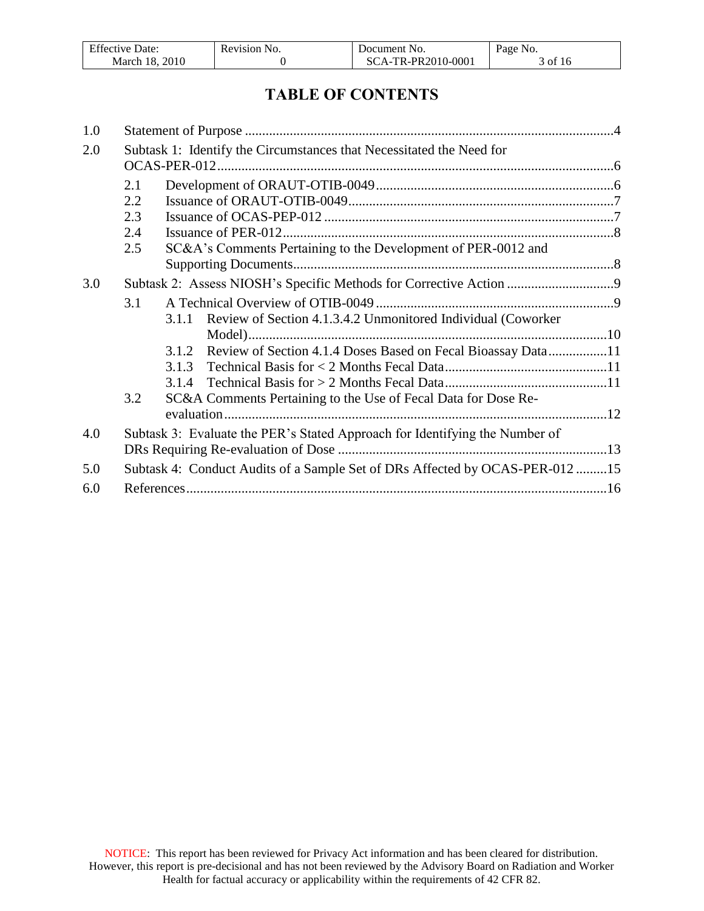| Effective          | Revision | NO.                                                         | Page No.  |
|--------------------|----------|-------------------------------------------------------------|-----------|
| ⊅ate∙              | NO.      | Document                                                    |           |
| .2010<br>March 18. |          | TR-PR2010-0001<br>$\Delta$ - $\overline{\phantom{a}}$<br>SС | 0t<br>-16 |

# **TABLE OF CONTENTS**

| 1.0 |         |                                                                              |  |
|-----|---------|------------------------------------------------------------------------------|--|
| 2.0 |         | Subtask 1: Identify the Circumstances that Necessitated the Need for         |  |
|     | 2.1     |                                                                              |  |
|     | $2.2\,$ |                                                                              |  |
|     | 2.3     |                                                                              |  |
|     | 2.4     |                                                                              |  |
|     | 2.5     | SC&A's Comments Pertaining to the Development of PER-0012 and                |  |
|     |         |                                                                              |  |
| 3.0 |         | Subtask 2: Assess NIOSH's Specific Methods for Corrective Action 9           |  |
|     | 3.1     |                                                                              |  |
|     |         | Review of Section 4.1.3.4.2 Unmonitored Individual (Coworker<br>3.1.1        |  |
|     |         |                                                                              |  |
|     |         | Review of Section 4.1.4 Doses Based on Fecal Bioassay Data11<br>3.1.2        |  |
|     |         |                                                                              |  |
|     |         |                                                                              |  |
|     | 3.2     | SC&A Comments Pertaining to the Use of Fecal Data for Dose Re-               |  |
|     |         |                                                                              |  |
| 4.0 |         | Subtask 3: Evaluate the PER's Stated Approach for Identifying the Number of  |  |
|     |         |                                                                              |  |
| 5.0 |         | Subtask 4: Conduct Audits of a Sample Set of DRs Affected by OCAS-PER-012 15 |  |
| 6.0 |         |                                                                              |  |
|     |         |                                                                              |  |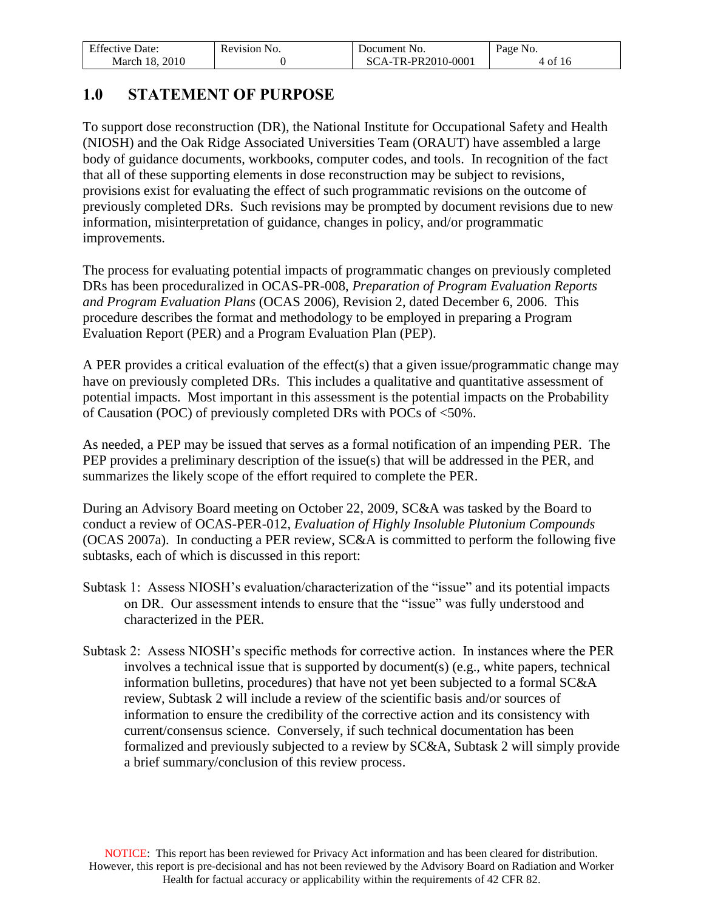| <b>Effective Date:</b> | Revision No. | Document No.       | Page No. |
|------------------------|--------------|--------------------|----------|
| March 18, 2010         |              | SCA-TR-PR2010-0001 | 4 of 16  |

# <span id="page-3-0"></span>**1.0 STATEMENT OF PURPOSE**

To support dose reconstruction (DR), the National Institute for Occupational Safety and Health (NIOSH) and the Oak Ridge Associated Universities Team (ORAUT) have assembled a large body of guidance documents, workbooks, computer codes, and tools. In recognition of the fact that all of these supporting elements in dose reconstruction may be subject to revisions, provisions exist for evaluating the effect of such programmatic revisions on the outcome of previously completed DRs. Such revisions may be prompted by document revisions due to new information, misinterpretation of guidance, changes in policy, and/or programmatic improvements.

The process for evaluating potential impacts of programmatic changes on previously completed DRs has been proceduralized in OCAS-PR-008, *Preparation of Program Evaluation Reports and Program Evaluation Plans* (OCAS 2006), Revision 2, dated December 6, 2006. This procedure describes the format and methodology to be employed in preparing a Program Evaluation Report (PER) and a Program Evaluation Plan (PEP).

A PER provides a critical evaluation of the effect(s) that a given issue/programmatic change may have on previously completed DRs. This includes a qualitative and quantitative assessment of potential impacts. Most important in this assessment is the potential impacts on the Probability of Causation (POC) of previously completed DRs with POCs of <50%.

As needed, a PEP may be issued that serves as a formal notification of an impending PER. The PEP provides a preliminary description of the issue(s) that will be addressed in the PER, and summarizes the likely scope of the effort required to complete the PER.

During an Advisory Board meeting on October 22, 2009, SC&A was tasked by the Board to conduct a review of OCAS-PER-012, *Evaluation of Highly Insoluble Plutonium Compounds* (OCAS 2007a). In conducting a PER review, SC&A is committed to perform the following five subtasks, each of which is discussed in this report:

- Subtask 1: Assess NIOSH's evaluation/characterization of the "issue" and its potential impacts on DR. Our assessment intends to ensure that the "issue" was fully understood and characterized in the PER.
- Subtask 2: Assess NIOSH's specific methods for corrective action. In instances where the PER involves a technical issue that is supported by document(s) (e.g., white papers, technical information bulletins, procedures) that have not yet been subjected to a formal SC&A review, Subtask 2 will include a review of the scientific basis and/or sources of information to ensure the credibility of the corrective action and its consistency with current/consensus science. Conversely, if such technical documentation has been formalized and previously subjected to a review by SC&A, Subtask 2 will simply provide a brief summary/conclusion of this review process.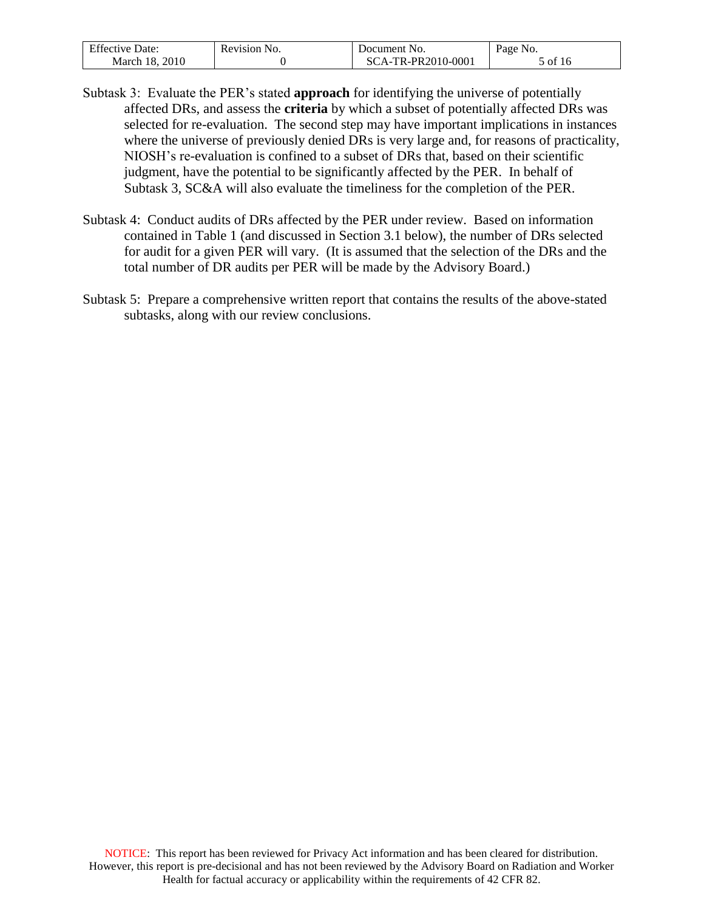| <b>Effective Date:</b> | Revision No. | Document No.       | Page No. |
|------------------------|--------------|--------------------|----------|
| March 18, 2010         |              | SCA-TR-PR2010-0001 | of 16    |

- Subtask 3: Evaluate the PER's stated **approach** for identifying the universe of potentially affected DRs, and assess the **criteria** by which a subset of potentially affected DRs was selected for re-evaluation. The second step may have important implications in instances where the universe of previously denied DRs is very large and, for reasons of practicality, NIOSH's re-evaluation is confined to a subset of DRs that, based on their scientific judgment, have the potential to be significantly affected by the PER. In behalf of Subtask 3, SC&A will also evaluate the timeliness for the completion of the PER.
- Subtask 4: Conduct audits of DRs affected by the PER under review. Based on information contained in Table 1 (and discussed in Section 3.1 below), the number of DRs selected for audit for a given PER will vary. (It is assumed that the selection of the DRs and the total number of DR audits per PER will be made by the Advisory Board.)
- Subtask 5: Prepare a comprehensive written report that contains the results of the above-stated subtasks, along with our review conclusions.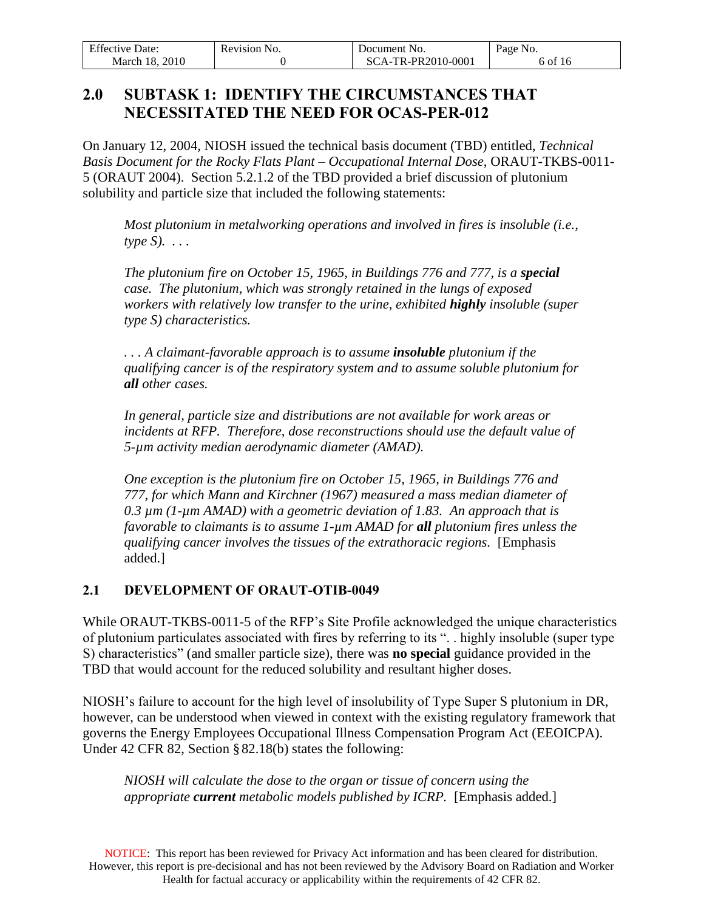| <b>Effective Date:</b> | Revision No. | Document No.       | Page No. |
|------------------------|--------------|--------------------|----------|
| March 18, 2010         |              | SCA-TR-PR2010-0001 | 6 of 16  |

# <span id="page-5-0"></span>**2.0 SUBTASK 1: IDENTIFY THE CIRCUMSTANCES THAT NECESSITATED THE NEED FOR OCAS-PER-012**

On January 12, 2004, NIOSH issued the technical basis document (TBD) entitled, *Technical Basis Document for the Rocky Flats Plant – Occupational Internal Dose*, ORAUT-TKBS-0011- 5 (ORAUT 2004). Section 5.2.1.2 of the TBD provided a brief discussion of plutonium solubility and particle size that included the following statements:

*Most plutonium in metalworking operations and involved in fires is insoluble (i.e., type S). . . .* 

*The plutonium fire on October 15, 1965, in Buildings 776 and 777, is a special case. The plutonium, which was strongly retained in the lungs of exposed workers with relatively low transfer to the urine, exhibited highly insoluble (super type S) characteristics.*

*. . . A claimant-favorable approach is to assume insoluble plutonium if the qualifying cancer is of the respiratory system and to assume soluble plutonium for all other cases.*

*In general, particle size and distributions are not available for work areas or incidents at RFP. Therefore, dose reconstructions should use the default value of 5-µm activity median aerodynamic diameter (AMAD).* 

*One exception is the plutonium fire on October 15, 1965, in Buildings 776 and 777, for which Mann and Kirchner (1967) measured a mass median diameter of 0.3 µm (1-µm AMAD) with a geometric deviation of 1.83. An approach that is favorable to claimants is to assume 1-µm AMAD for all plutonium fires unless the qualifying cancer involves the tissues of the extrathoracic regions.* [Emphasis added.]

### <span id="page-5-1"></span>**2.1 DEVELOPMENT OF ORAUT-OTIB-0049**

While ORAUT-TKBS-0011-5 of the RFP's Site Profile acknowledged the unique characteristics of plutonium particulates associated with fires by referring to its ". . highly insoluble (super type S) characteristics" (and smaller particle size), there was **no special** guidance provided in the TBD that would account for the reduced solubility and resultant higher doses.

NIOSH's failure to account for the high level of insolubility of Type Super S plutonium in DR, however, can be understood when viewed in context with the existing regulatory framework that governs the Energy Employees Occupational Illness Compensation Program Act (EEOICPA). Under 42 CFR 82, Section § 82.18(b) states the following:

*NIOSH will calculate the dose to the organ or tissue of concern using the appropriate current metabolic models published by ICRP.* [Emphasis added.]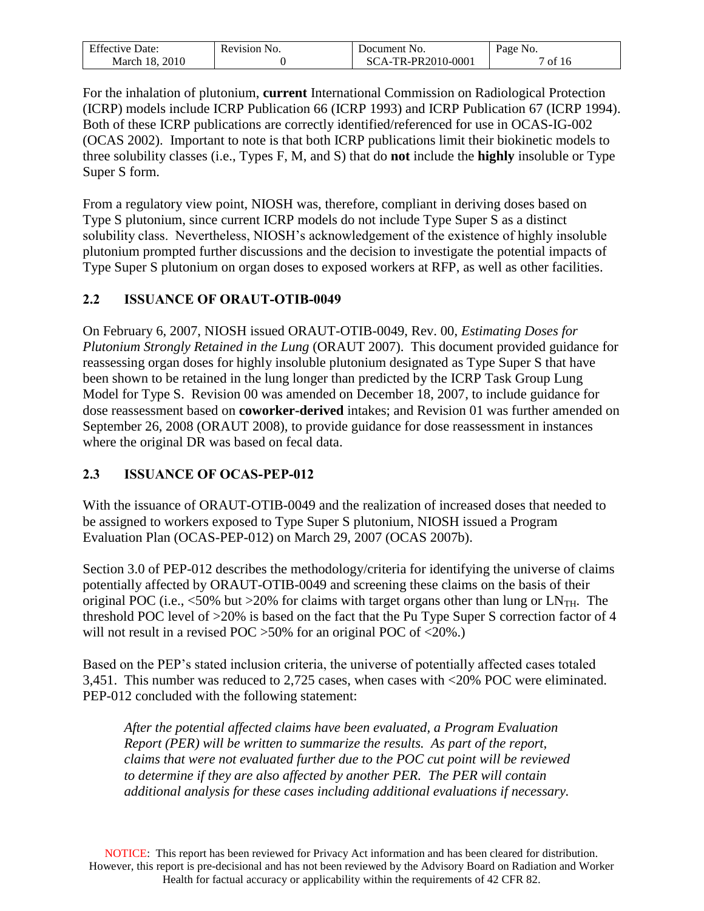| <b>Effective Date:</b> | Revision No. | Document No.        | Page No.            |
|------------------------|--------------|---------------------|---------------------|
| . 2010                 |              | $TA-TR-PR2010-0001$ | $\sim$ of $\lambda$ |
| March 18.              |              | -SC-                | -10                 |

For the inhalation of plutonium, **current** International Commission on Radiological Protection (ICRP) models include ICRP Publication 66 (ICRP 1993) and ICRP Publication 67 (ICRP 1994). Both of these ICRP publications are correctly identified/referenced for use in OCAS-IG-002 (OCAS 2002). Important to note is that both ICRP publications limit their biokinetic models to three solubility classes (i.e., Types F, M, and S) that do **not** include the **highly** insoluble or Type Super S form.

From a regulatory view point, NIOSH was, therefore, compliant in deriving doses based on Type S plutonium, since current ICRP models do not include Type Super S as a distinct solubility class. Nevertheless, NIOSH's acknowledgement of the existence of highly insoluble plutonium prompted further discussions and the decision to investigate the potential impacts of Type Super S plutonium on organ doses to exposed workers at RFP, as well as other facilities.

### <span id="page-6-0"></span>**2.2 ISSUANCE OF ORAUT-OTIB-0049**

On February 6, 2007, NIOSH issued ORAUT-OTIB-0049, Rev. 00, *Estimating Doses for Plutonium Strongly Retained in the Lung* (ORAUT 2007). This document provided guidance for reassessing organ doses for highly insoluble plutonium designated as Type Super S that have been shown to be retained in the lung longer than predicted by the ICRP Task Group Lung Model for Type S. Revision 00 was amended on December 18, 2007, to include guidance for dose reassessment based on **coworker-derived** intakes; and Revision 01 was further amended on September 26, 2008 (ORAUT 2008), to provide guidance for dose reassessment in instances where the original DR was based on fecal data.

### <span id="page-6-1"></span>**2.3 ISSUANCE OF OCAS-PEP-012**

With the issuance of ORAUT-OTIB-0049 and the realization of increased doses that needed to be assigned to workers exposed to Type Super S plutonium, NIOSH issued a Program Evaluation Plan (OCAS-PEP-012) on March 29, 2007 (OCAS 2007b).

Section 3.0 of PEP-012 describes the methodology/criteria for identifying the universe of claims potentially affected by ORAUT-OTIB-0049 and screening these claims on the basis of their original POC (i.e.,  $\leq 50\%$  but  $>20\%$  for claims with target organs other than lung or LN<sub>TH</sub>. The threshold POC level of >20% is based on the fact that the Pu Type Super S correction factor of 4 will not result in a revised POC > 50% for an original POC of <20%.)

Based on the PEP's stated inclusion criteria, the universe of potentially affected cases totaled 3,451. This number was reduced to 2,725 cases, when cases with <20% POC were eliminated. PEP-012 concluded with the following statement:

*After the potential affected claims have been evaluated, a Program Evaluation Report (PER) will be written to summarize the results. As part of the report, claims that were not evaluated further due to the POC cut point will be reviewed to determine if they are also affected by another PER. The PER will contain additional analysis for these cases including additional evaluations if necessary.*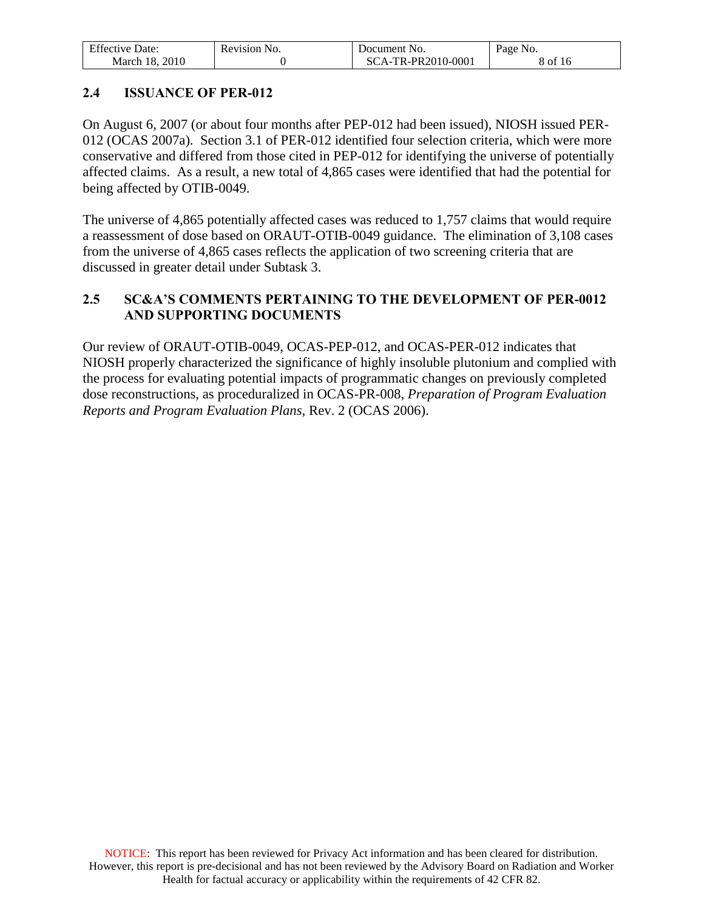| <b>Effective Date:</b> | Revision No. | Document No.       | Page No. |
|------------------------|--------------|--------------------|----------|
| 2010<br>March 18.      |              | SCA-TR-PR2010-0001 | of 16    |

### <span id="page-7-0"></span>**2.4 ISSUANCE OF PER-012**

On August 6, 2007 (or about four months after PEP-012 had been issued), NIOSH issued PER-012 (OCAS 2007a). Section 3.1 of PER-012 identified four selection criteria, which were more conservative and differed from those cited in PEP-012 for identifying the universe of potentially affected claims. As a result, a new total of 4,865 cases were identified that had the potential for being affected by OTIB-0049.

The universe of 4,865 potentially affected cases was reduced to 1,757 claims that would require a reassessment of dose based on ORAUT-OTIB-0049 guidance. The elimination of 3,108 cases from the universe of 4,865 cases reflects the application of two screening criteria that are discussed in greater detail under Subtask 3.

### <span id="page-7-1"></span>**2.5 SC&A'S COMMENTS PERTAINING TO THE DEVELOPMENT OF PER-0012 AND SUPPORTING DOCUMENTS**

Our review of ORAUT-OTIB-0049, OCAS-PEP-012, and OCAS-PER-012 indicates that NIOSH properly characterized the significance of highly insoluble plutonium and complied with the process for evaluating potential impacts of programmatic changes on previously completed dose reconstructions, as proceduralized in OCAS-PR-008, *Preparation of Program Evaluation Reports and Program Evaluation Plans,* Rev. 2 (OCAS 2006).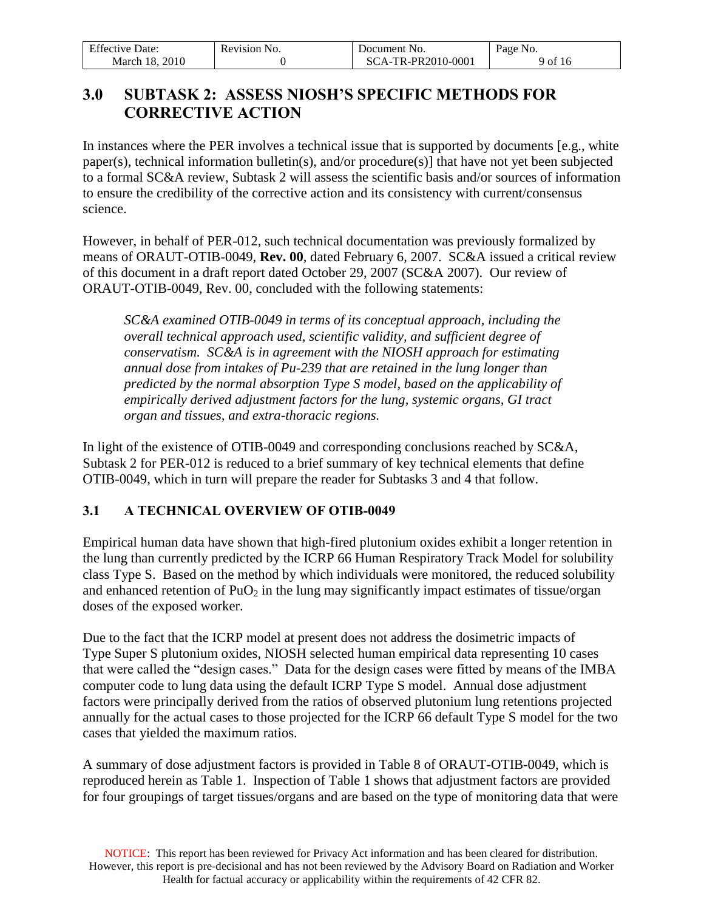| <b>Effective Date:</b> | Revision No. | Document No.       | Page No. |
|------------------------|--------------|--------------------|----------|
| March 18, 2010         |              | SCA-TR-PR2010-0001 | 9 of 16  |

# <span id="page-8-0"></span>**3.0 SUBTASK 2: ASSESS NIOSH'S SPECIFIC METHODS FOR CORRECTIVE ACTION**

In instances where the PER involves a technical issue that is supported by documents [e.g., white paper(s), technical information bulletin(s), and/or procedure(s)] that have not yet been subjected to a formal SC&A review, Subtask 2 will assess the scientific basis and/or sources of information to ensure the credibility of the corrective action and its consistency with current/consensus science.

However, in behalf of PER-012, such technical documentation was previously formalized by means of ORAUT-OTIB-0049, **Rev. 00**, dated February 6, 2007. SC&A issued a critical review of this document in a draft report dated October 29, 2007 (SC&A 2007). Our review of ORAUT-OTIB-0049, Rev. 00, concluded with the following statements:

*SC&A examined OTIB-0049 in terms of its conceptual approach, including the overall technical approach used, scientific validity, and sufficient degree of conservatism. SC&A is in agreement with the NIOSH approach for estimating annual dose from intakes of Pu-239 that are retained in the lung longer than predicted by the normal absorption Type S model, based on the applicability of empirically derived adjustment factors for the lung, systemic organs, GI tract organ and tissues, and extra-thoracic regions.*

In light of the existence of OTIB-0049 and corresponding conclusions reached by SC&A, Subtask 2 for PER-012 is reduced to a brief summary of key technical elements that define OTIB-0049, which in turn will prepare the reader for Subtasks 3 and 4 that follow.

### <span id="page-8-1"></span>**3.1 A TECHNICAL OVERVIEW OF OTIB-0049**

Empirical human data have shown that high-fired plutonium oxides exhibit a longer retention in the lung than currently predicted by the ICRP 66 Human Respiratory Track Model for solubility class Type S. Based on the method by which individuals were monitored, the reduced solubility and enhanced retention of  $PuO<sub>2</sub>$  in the lung may significantly impact estimates of tissue/organ doses of the exposed worker.

Due to the fact that the ICRP model at present does not address the dosimetric impacts of Type Super S plutonium oxides, NIOSH selected human empirical data representing 10 cases that were called the "design cases." Data for the design cases were fitted by means of the IMBA computer code to lung data using the default ICRP Type S model. Annual dose adjustment factors were principally derived from the ratios of observed plutonium lung retentions projected annually for the actual cases to those projected for the ICRP 66 default Type S model for the two cases that yielded the maximum ratios.

A summary of dose adjustment factors is provided in Table 8 of ORAUT-OTIB-0049, which is reproduced herein as Table 1. Inspection of Table 1 shows that adjustment factors are provided for four groupings of target tissues/organs and are based on the type of monitoring data that were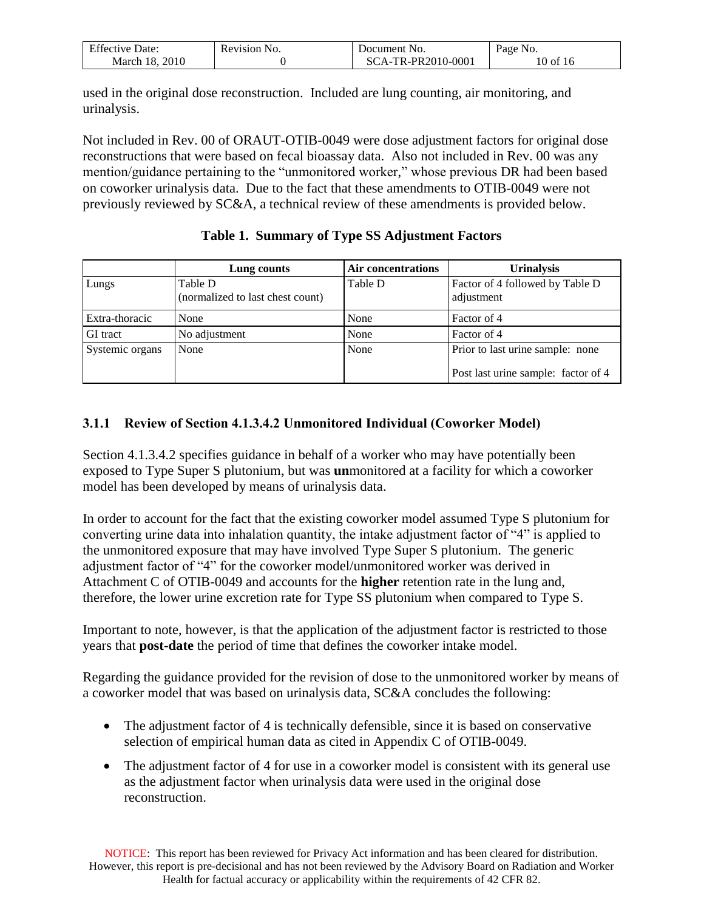| <b>Effective Date:</b> | Revision No. | Document No.       | Page No. |
|------------------------|--------------|--------------------|----------|
| March 18, 2010         |              | SCA-TR-PR2010-0001 | 10 of 16 |

used in the original dose reconstruction. Included are lung counting, air monitoring, and urinalysis.

Not included in Rev. 00 of ORAUT-OTIB-0049 were dose adjustment factors for original dose reconstructions that were based on fecal bioassay data. Also not included in Rev. 00 was any mention/guidance pertaining to the "unmonitored worker," whose previous DR had been based on coworker urinalysis data. Due to the fact that these amendments to OTIB-0049 were not previously reviewed by SC&A, a technical review of these amendments is provided below.

|                 | Lung counts                                 | <b>Air concentrations</b> | <b>Urinalysis</b>                                                       |
|-----------------|---------------------------------------------|---------------------------|-------------------------------------------------------------------------|
| Lungs           | Table D<br>(normalized to last chest count) | Table D                   | Factor of 4 followed by Table D<br>adjustment                           |
| Extra-thoracic  | None                                        | None                      | Factor of 4                                                             |
| <b>GI</b> tract | No adjustment                               | None                      | Factor of 4                                                             |
| Systemic organs | None                                        | None                      | Prior to last urine sample: none<br>Post last urine sample: factor of 4 |

### **Table 1. Summary of Type SS Adjustment Factors**

### <span id="page-9-0"></span>**3.1.1 Review of Section 4.1.3.4.2 Unmonitored Individual (Coworker Model)**

Section 4.1.3.4.2 specifies guidance in behalf of a worker who may have potentially been exposed to Type Super S plutonium, but was **un**monitored at a facility for which a coworker model has been developed by means of urinalysis data.

In order to account for the fact that the existing coworker model assumed Type S plutonium for converting urine data into inhalation quantity, the intake adjustment factor of "4" is applied to the unmonitored exposure that may have involved Type Super S plutonium. The generic adjustment factor of "4" for the coworker model/unmonitored worker was derived in Attachment C of OTIB-0049 and accounts for the **higher** retention rate in the lung and, therefore, the lower urine excretion rate for Type SS plutonium when compared to Type S.

Important to note, however, is that the application of the adjustment factor is restricted to those years that **post-date** the period of time that defines the coworker intake model.

Regarding the guidance provided for the revision of dose to the unmonitored worker by means of a coworker model that was based on urinalysis data, SC&A concludes the following:

- The adjustment factor of 4 is technically defensible, since it is based on conservative selection of empirical human data as cited in Appendix C of OTIB-0049.
- The adjustment factor of 4 for use in a coworker model is consistent with its general use as the adjustment factor when urinalysis data were used in the original dose reconstruction.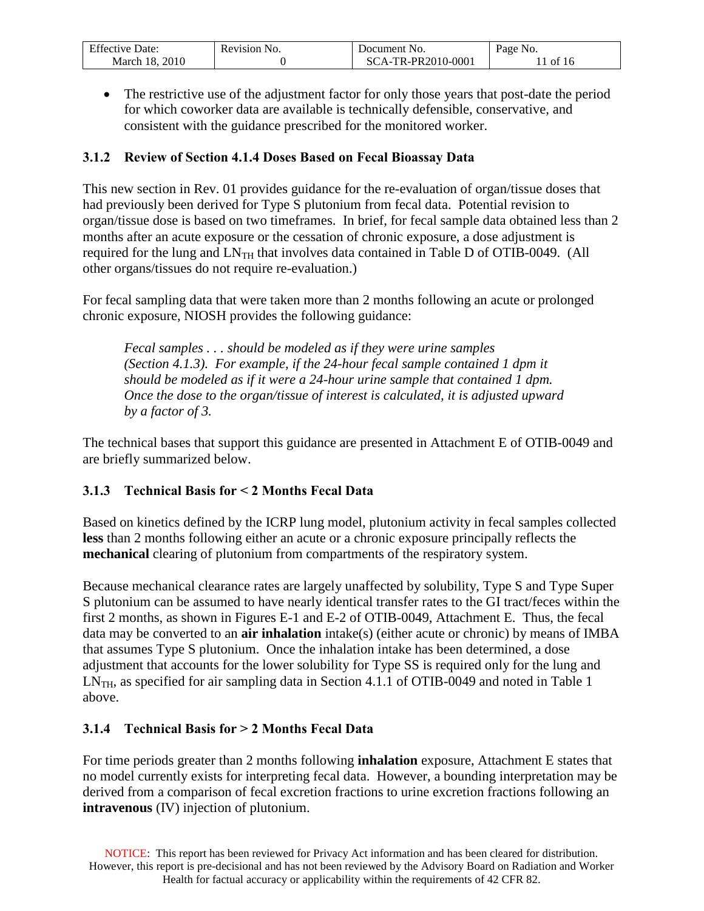| <b>Effective Date:</b> | Revision No. | Document No.        | Page No.   |
|------------------------|--------------|---------------------|------------|
| 2010                   |              | $FA-TR-PR2010-0001$ | $\pm$ of 1 |
| March 18.              |              | \`\                 | 10         |

 The restrictive use of the adjustment factor for only those years that post-date the period for which coworker data are available is technically defensible, conservative, and consistent with the guidance prescribed for the monitored worker.

### <span id="page-10-0"></span>**3.1.2 Review of Section 4.1.4 Doses Based on Fecal Bioassay Data**

This new section in Rev. 01 provides guidance for the re-evaluation of organ/tissue doses that had previously been derived for Type S plutonium from fecal data. Potential revision to organ/tissue dose is based on two timeframes. In brief, for fecal sample data obtained less than 2 months after an acute exposure or the cessation of chronic exposure, a dose adjustment is required for the lung and  $LN_{TH}$  that involves data contained in Table D of OTIB-0049. (All other organs/tissues do not require re-evaluation.)

For fecal sampling data that were taken more than 2 months following an acute or prolonged chronic exposure, NIOSH provides the following guidance:

*Fecal samples . . . should be modeled as if they were urine samples (Section 4.1.3). For example, if the 24-hour fecal sample contained 1 dpm it should be modeled as if it were a 24-hour urine sample that contained 1 dpm. Once the dose to the organ/tissue of interest is calculated, it is adjusted upward by a factor of 3.*

The technical bases that support this guidance are presented in Attachment E of OTIB-0049 and are briefly summarized below.

### <span id="page-10-1"></span>**3.1.3 Technical Basis for < 2 Months Fecal Data**

Based on kinetics defined by the ICRP lung model, plutonium activity in fecal samples collected **less** than 2 months following either an acute or a chronic exposure principally reflects the **mechanical** clearing of plutonium from compartments of the respiratory system.

Because mechanical clearance rates are largely unaffected by solubility, Type S and Type Super S plutonium can be assumed to have nearly identical transfer rates to the GI tract/feces within the first 2 months, as shown in Figures E-1 and E-2 of OTIB-0049, Attachment E. Thus, the fecal data may be converted to an **air inhalation** intake(s) (either acute or chronic) by means of IMBA that assumes Type S plutonium. Once the inhalation intake has been determined, a dose adjustment that accounts for the lower solubility for Type SS is required only for the lung and  $LN<sub>TH</sub>$ , as specified for air sampling data in Section 4.1.1 of OTIB-0049 and noted in Table 1 above.

### <span id="page-10-2"></span>**3.1.4 Technical Basis for > 2 Months Fecal Data**

For time periods greater than 2 months following **inhalation** exposure, Attachment E states that no model currently exists for interpreting fecal data. However, a bounding interpretation may be derived from a comparison of fecal excretion fractions to urine excretion fractions following an **intravenous** (IV) injection of plutonium.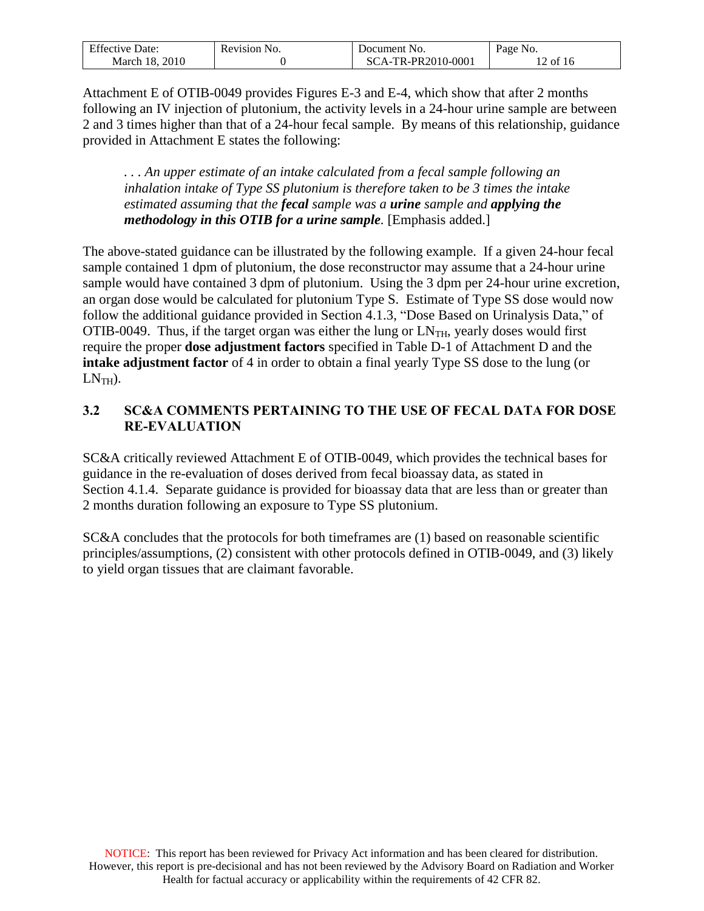| <b>Effective Date:</b> | Revision No. | Document No.              | Page No. |
|------------------------|--------------|---------------------------|----------|
| March 18, 2010         |              | CA-TR-PR2010-0001<br>-SC- | of 16    |

Attachment E of OTIB-0049 provides Figures E-3 and E-4, which show that after 2 months following an IV injection of plutonium, the activity levels in a 24-hour urine sample are between 2 and 3 times higher than that of a 24-hour fecal sample. By means of this relationship, guidance provided in Attachment E states the following:

*. . . An upper estimate of an intake calculated from a fecal sample following an inhalation intake of Type SS plutonium is therefore taken to be 3 times the intake estimated assuming that the fecal sample was a urine sample and applying the methodology in this OTIB for a urine sample.* [Emphasis added.]

The above-stated guidance can be illustrated by the following example. If a given 24-hour fecal sample contained 1 dpm of plutonium, the dose reconstructor may assume that a 24-hour urine sample would have contained 3 dpm of plutonium. Using the 3 dpm per 24-hour urine excretion, an organ dose would be calculated for plutonium Type S. Estimate of Type SS dose would now follow the additional guidance provided in Section 4.1.3, "Dose Based on Urinalysis Data," of OTIB-0049. Thus, if the target organ was either the lung or  $LN<sub>TH</sub>$ , yearly doses would first require the proper **dose adjustment factors** specified in Table D-1 of Attachment D and the **intake adjustment factor** of 4 in order to obtain a final yearly Type SS dose to the lung (or  $LN<sub>TH</sub>$ ).

### <span id="page-11-0"></span>**3.2 SC&A COMMENTS PERTAINING TO THE USE OF FECAL DATA FOR DOSE RE-EVALUATION**

SC&A critically reviewed Attachment E of OTIB-0049, which provides the technical bases for guidance in the re-evaluation of doses derived from fecal bioassay data, as stated in Section 4.1.4. Separate guidance is provided for bioassay data that are less than or greater than 2 months duration following an exposure to Type SS plutonium.

SC&A concludes that the protocols for both timeframes are (1) based on reasonable scientific principles/assumptions, (2) consistent with other protocols defined in OTIB-0049, and (3) likely to yield organ tissues that are claimant favorable.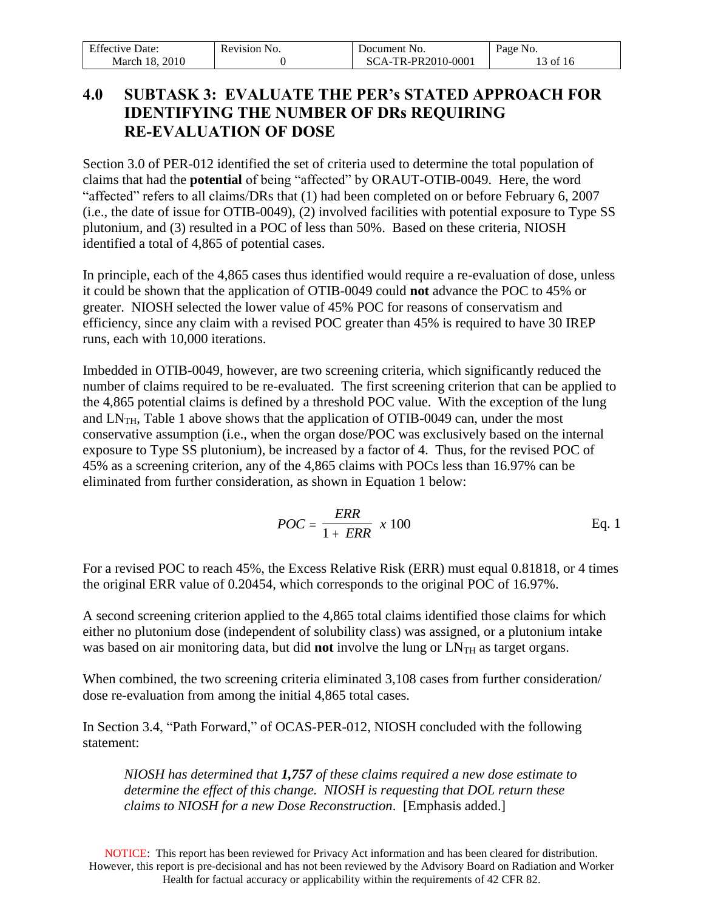| <b>Effective Date:</b> | Revision No. | Document No.      | Page No. |
|------------------------|--------------|-------------------|----------|
| . 2010<br>March 18.    |              | CA-TR-PR2010-0001 | 13 of 16 |

# <span id="page-12-0"></span>**4.0 SUBTASK 3: EVALUATE THE PER's STATED APPROACH FOR IDENTIFYING THE NUMBER OF DRs REQUIRING RE-EVALUATION OF DOSE**

Section 3.0 of PER-012 identified the set of criteria used to determine the total population of claims that had the **potential** of being "affected" by ORAUT-OTIB-0049. Here, the word "affected" refers to all claims/DRs that (1) had been completed on or before February 6, 2007 (i.e., the date of issue for OTIB-0049), (2) involved facilities with potential exposure to Type SS plutonium, and (3) resulted in a POC of less than 50%. Based on these criteria, NIOSH identified a total of 4,865 of potential cases.

In principle, each of the 4,865 cases thus identified would require a re-evaluation of dose, unless it could be shown that the application of OTIB-0049 could **not** advance the POC to 45% or greater. NIOSH selected the lower value of 45% POC for reasons of conservatism and efficiency, since any claim with a revised POC greater than 45% is required to have 30 IREP runs, each with 10,000 iterations.

Imbedded in OTIB-0049, however, are two screening criteria, which significantly reduced the number of claims required to be re-evaluated. The first screening criterion that can be applied to the 4,865 potential claims is defined by a threshold POC value. With the exception of the lung and  $LN_{TH}$ , Table 1 above shows that the application of OTIB-0049 can, under the most conservative assumption (i.e., when the organ dose/POC was exclusively based on the internal exposure to Type SS plutonium), be increased by a factor of 4. Thus, for the revised POC of 45% as a screening criterion, any of the 4,865 claims with POCs less than 16.97% can be eliminated from further consideration, as shown in Equation 1 below:

$$
POC = \frac{ERR}{1 + ERR} \times 100
$$
 Eq. 1

For a revised POC to reach 45%, the Excess Relative Risk (ERR) must equal 0.81818, or 4 times the original ERR value of 0.20454, which corresponds to the original POC of 16.97%.

A second screening criterion applied to the 4,865 total claims identified those claims for which either no plutonium dose (independent of solubility class) was assigned, or a plutonium intake was based on air monitoring data, but did **not** involve the lung or LN<sub>TH</sub> as target organs.

When combined, the two screening criteria eliminated 3,108 cases from further consideration/ dose re-evaluation from among the initial 4,865 total cases.

In Section 3.4, "Path Forward," of OCAS-PER-012, NIOSH concluded with the following statement:

*NIOSH has determined that 1,757 of these claims required a new dose estimate to determine the effect of this change. NIOSH is requesting that DOL return these claims to NIOSH for a new Dose Reconstruction*. [Emphasis added.]

NOTICE: This report has been reviewed for Privacy Act information and has been cleared for distribution. However, this report is pre-decisional and has not been reviewed by the Advisory Board on Radiation and Worker Health for factual accuracy or applicability within the requirements of 42 CFR 82.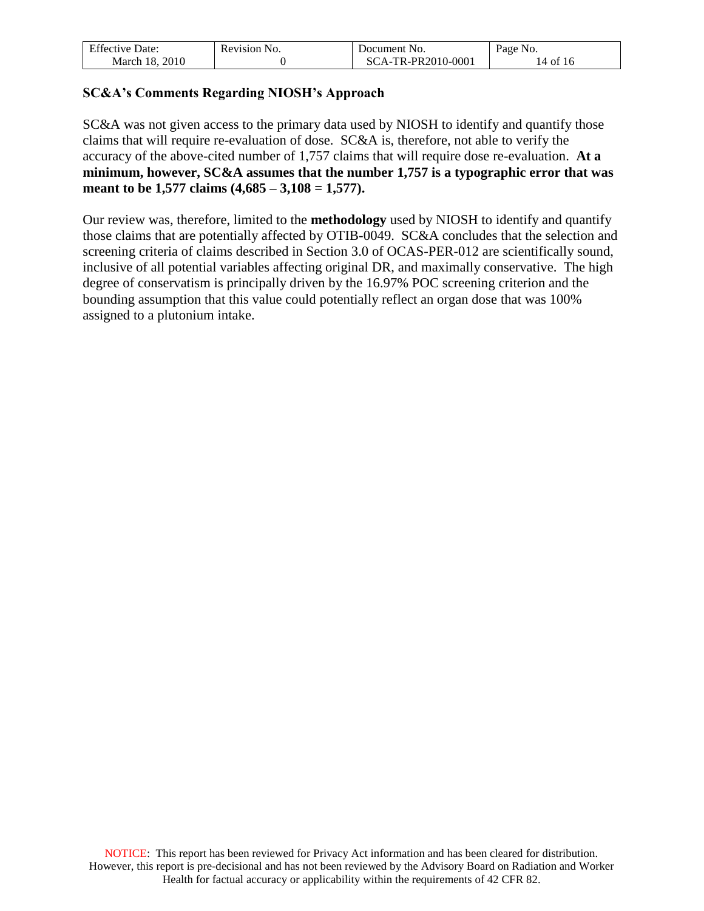| <b>Effective Date:</b> | Revision No. | Document No.       | Page No. |
|------------------------|--------------|--------------------|----------|
| March 18, 2010         |              | SCA-TR-PR2010-0001 | 14 of 16 |

### **SC&A's Comments Regarding NIOSH's Approach**

SC&A was not given access to the primary data used by NIOSH to identify and quantify those claims that will require re-evaluation of dose. SC&A is, therefore, not able to verify the accuracy of the above-cited number of 1,757 claims that will require dose re-evaluation. **At a minimum, however, SC&A assumes that the number 1,757 is a typographic error that was meant to be 1,577 claims (4,685 – 3,108 = 1,577).** 

Our review was, therefore, limited to the **methodology** used by NIOSH to identify and quantify those claims that are potentially affected by OTIB-0049. SC&A concludes that the selection and screening criteria of claims described in Section 3.0 of OCAS-PER-012 are scientifically sound, inclusive of all potential variables affecting original DR, and maximally conservative. The high degree of conservatism is principally driven by the 16.97% POC screening criterion and the bounding assumption that this value could potentially reflect an organ dose that was 100% assigned to a plutonium intake.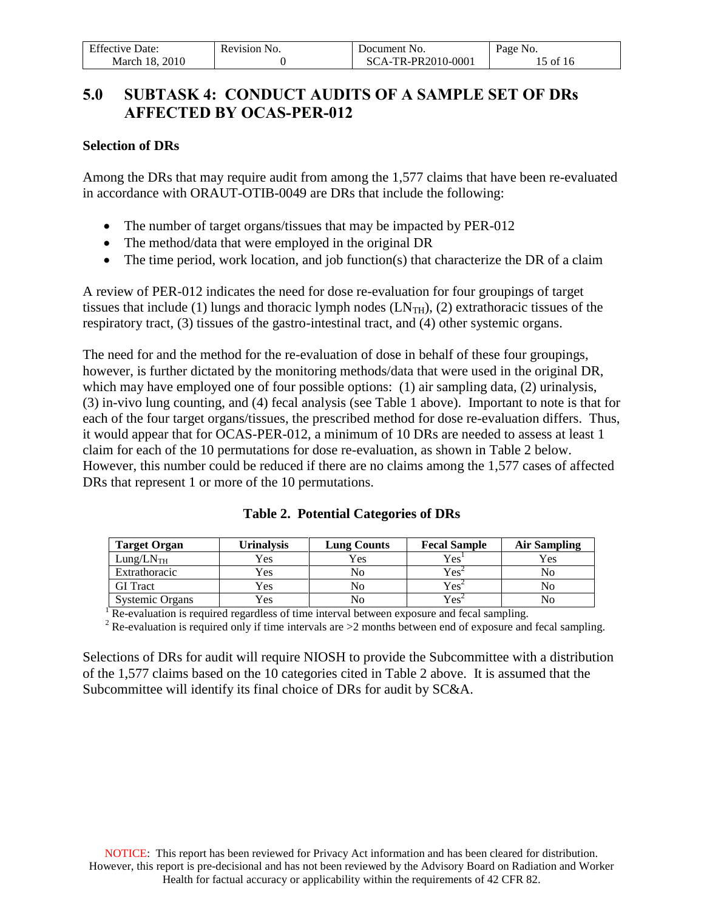| <b>Effective Date:</b> | Revision No. | Document No.       | Page No.   |
|------------------------|--------------|--------------------|------------|
| March 18, 2010         |              | SCA-TR-PR2010-0001 | $15$ of 16 |

# <span id="page-14-0"></span>**5.0 SUBTASK 4: CONDUCT AUDITS OF A SAMPLE SET OF DRs AFFECTED BY OCAS-PER-012**

#### **Selection of DRs**

Among the DRs that may require audit from among the 1,577 claims that have been re-evaluated in accordance with ORAUT-OTIB-0049 are DRs that include the following:

- The number of target organs/tissues that may be impacted by PER-012
- The method/data that were employed in the original DR
- The time period, work location, and job function(s) that characterize the DR of a claim

A review of PER-012 indicates the need for dose re-evaluation for four groupings of target tissues that include (1) lungs and thoracic lymph nodes  $(LN<sub>TH</sub>)$ , (2) extrathoracic tissues of the respiratory tract, (3) tissues of the gastro-intestinal tract, and (4) other systemic organs.

The need for and the method for the re-evaluation of dose in behalf of these four groupings, however, is further dictated by the monitoring methods/data that were used in the original DR, which may have employed one of four possible options: (1) air sampling data, (2) urinalysis, (3) in-vivo lung counting, and (4) fecal analysis (see Table 1 above). Important to note is that for each of the four target organs/tissues, the prescribed method for dose re-evaluation differs. Thus, it would appear that for OCAS-PER-012, a minimum of 10 DRs are needed to assess at least 1 claim for each of the 10 permutations for dose re-evaluation, as shown in Table 2 below. However, this number could be reduced if there are no claims among the 1,577 cases of affected DRs that represent 1 or more of the 10 permutations.

| <b>Target Organ</b>   | U <b>rinalysis</b> | <b>Lung Counts</b> | <b>Fecal Sample</b>                       | Air Sampling |
|-----------------------|--------------------|--------------------|-------------------------------------------|--------------|
| Lung/LN <sub>TH</sub> | Yes                | Yes                | Yes'                                      | Yes          |
| Extrathoracic         | Yes                | No                 | $\mathrm{Yes}^{\scriptscriptstyle\angle}$ | No           |
| <b>GI</b> Tract       | Yes                | No                 | $Yes^*$                                   | Nο           |
| Systemic Organs       | Yes                | No                 | $Yes+$                                    | No           |

**Table 2. Potential Categories of DRs**

 $1$  Re-evaluation is required regardless of time interval between exposure and fecal sampling.

<sup>2</sup> Re-evaluation is required only if time intervals are >2 months between end of exposure and fecal sampling.

Selections of DRs for audit will require NIOSH to provide the Subcommittee with a distribution of the 1,577 claims based on the 10 categories cited in Table 2 above. It is assumed that the Subcommittee will identify its final choice of DRs for audit by SC&A.